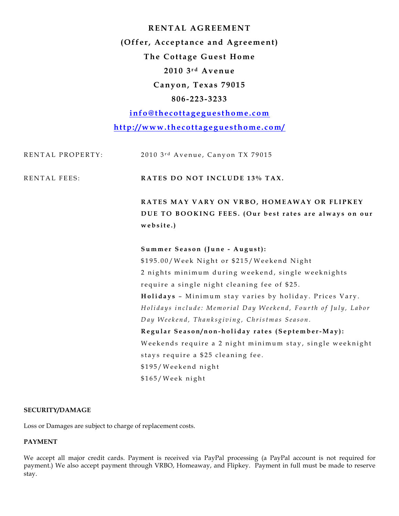**RENTAL AGREEMENT (Offer, Acceptance and Agreement) The Cottage Guest Home 2010 3 r d Avenue Canyon, Texas 79015 806- 223- 3233**

**info@thecottageguesthome.com http://www.thecottageguesthome.com/**

| RENTAL PROPERTY:    | 2010 3rd Avenue, Canyon TX 79015                              |
|---------------------|---------------------------------------------------------------|
| <b>RENTAL FEES:</b> | RATES DO NOT INCLUDE 13% TAX.                                 |
|                     | RATES MAY VARY ON VRBO, HOMEAWAY OR FLIPKEY                   |
|                     | DUE TO BOOKING FEES. (Our best rates are always on our        |
|                     | website.)                                                     |
|                     | Summer Season (June - August):                                |
|                     | \$195.00/Week Night or \$215/Weekend Night                    |
|                     | 2 nights minimum during weekend, single weeknights            |
|                     | require a single night cleaning fee of \$25.                  |
|                     | Holidays - Minimum stay varies by holiday. Prices Vary.       |
|                     | Holidays include: Memorial Day Weekend, Fourth of July, Labor |
|                     | Day Weekend, Thanksgiving, Christmas Season.                  |
|                     | Regular Season/non-holiday rates (September-May):             |
|                     | Weekends require a 2 night minimum stay, single weeknight     |
|                     | stays require a \$25 cleaning fee.                            |
|                     | \$195/Weekend night                                           |
|                     | \$165/Week night                                              |

### **SECURITY/DAMAGE**

Loss or Damages are subject to charge of replacement costs.

# **PAYMENT**

We accept all major credit cards. Payment is received via PayPal processing (a PayPal account is not required for payment.) We also accept payment through VRBO, Homeaway, and Flipkey. Payment in full must be made to reserve stay.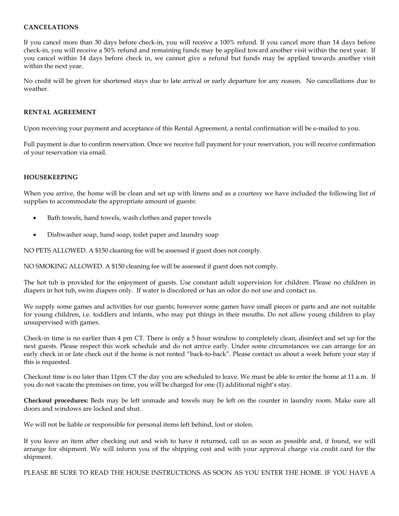## **CANCELATIONS**

If you cancel more than 30 days before check-in, you will receive a 100% refund. If you cancel more than 14 days before check-in, you will receive a 50% refund and remaining funds may be applied toward another visit within the next year. If you cancel within 14 days before check in, we cannot give a refund but funds may be applied towards another visit within the next year.

No credit will be given for shortened stays due to late arrival or early departure for any reason. No cancellations due to weather.

### **RENTAL AGREEMENT**

Upon receiving your payment and acceptance of this Rental Agreement, a rental confirmation will be e-mailed to you.

Full payment is due to confirm reservation. Once we receive full payment for your reservation, you will receive confirmation of your reservation via email.

## **HOUSEKEEPING**

When you arrive, the home will be clean and set up with linens and as a courtesy we have included the following list of supplies to accommodate the appropriate amount of guests:

- Bath towels, hand towels, wash clothes and paper towels
- Dishwasher soap, hand soap, toilet paper and laundry soap

NO PETS ALLOWED. A \$150 cleaning fee will be assessed if guest does not comply.

NO SMOKING ALLOWED. A \$150 cleaning fee will be assessed if guest does not comply.

The hot tub is provided for the enjoyment of guests. Use constant adult supervision for children. Please no children in diapers in hot tub, swim diapers only. If water is discolored or has an odor do not use and contact us.

We supply some games and activities for our guests; however some games have small pieces or parts and are not suitable for young children, i.e. toddlers and infants, who may put things in their mouths. Do not allow young children to play unsupervised with games.

Check-in time is no earlier than 4 pm CT. There is only a 5 hour window to completely clean, disinfect and set up for the next guests. Please respect this work schedule and do not arrive early. Under some circumstances we can arrange for an early check in or late check out if the home is not rented "back-to-back". Please contact us about a week before your stay if this is requested.

Checkout time is no later than 11pm CT the day you are scheduled to leave. We must be able to enter the home at 11 a.m. If you do not vacate the premises on time, you will be charged for one (1) additional night's stay.

**Checkout procedures:** Beds may be left unmade and towels may be left on the counter in laundry room. Make sure all doors and windows are locked and shut.

We will not be liable or responsible for personal items left behind, lost or stolen.

If you leave an item after checking out and wish to have it returned, call us as soon as possible and, if found, we will arrange for shipment. We will inform you of the shipping cost and with your approval charge via credit card for the shipment.

PLEASE BE SURE TO READ THE HOUSE INSTRUCTIONS AS SOON AS YOU ENTER THE HOME. IF YOU HAVE A